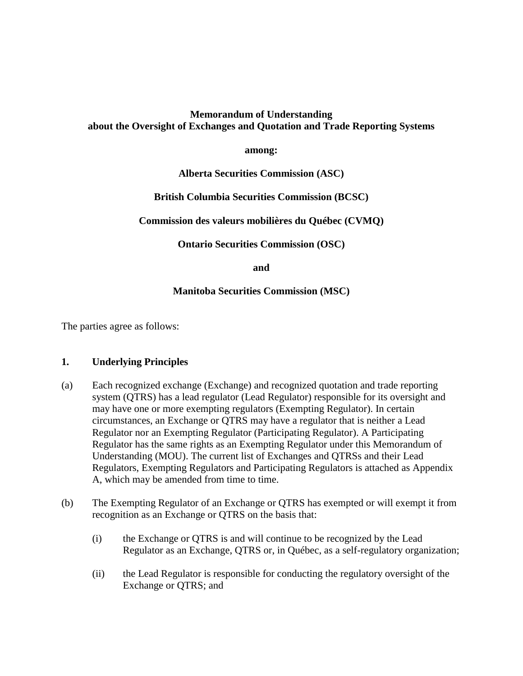# **Memorandum of Understanding about the Oversight of Exchanges and Quotation and Trade Reporting Systems**

#### **among:**

## **Alberta Securities Commission (ASC)**

## **British Columbia Securities Commission (BCSC)**

## **Commission des valeurs mobilières du Québec (CVMQ)**

**Ontario Securities Commission (OSC)** 

**and** 

## **Manitoba Securities Commission (MSC)**

The parties agree as follows:

#### **1. Underlying Principles**

- (a) Each recognized exchange (Exchange) and recognized quotation and trade reporting system (QTRS) has a lead regulator (Lead Regulator) responsible for its oversight and may have one or more exempting regulators (Exempting Regulator). In certain circumstances, an Exchange or QTRS may have a regulator that is neither a Lead Regulator nor an Exempting Regulator (Participating Regulator). A Participating Regulator has the same rights as an Exempting Regulator under this Memorandum of Understanding (MOU). The current list of Exchanges and QTRSs and their Lead Regulators, Exempting Regulators and Participating Regulators is attached as Appendix A, which may be amended from time to time.
- (b) The Exempting Regulator of an Exchange or QTRS has exempted or will exempt it from recognition as an Exchange or QTRS on the basis that:
	- (i) the Exchange or QTRS is and will continue to be recognized by the Lead Regulator as an Exchange, QTRS or, in Québec, as a self-regulatory organization;
	- (ii) the Lead Regulator is responsible for conducting the regulatory oversight of the Exchange or QTRS; and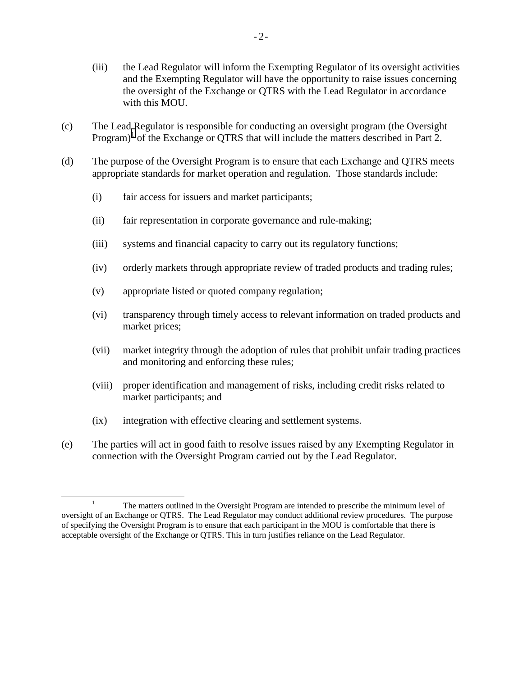- (iii) the Lead Regulator will inform the Exempting Regulator of its oversight activities and the Exempting Regulator will have the opportunity to raise issues concerning the oversight of the Exchange or QTRS with the Lead Regulator in accordance with this MOU.
- (c) The Lead Regulator is responsible for conducting an oversight program (the Oversight Program)<sup>1</sup> of the Exchange or QTRS that will include the matters described in Part 2.
- (d) The purpose of the Oversight Program is to ensure that each Exchange and QTRS meets appropriate standards for market operation and regulation. Those standards include:
	- (i) fair access for issuers and market participants;
	- (ii) fair representation in corporate governance and rule-making;
	- (iii) systems and financial capacity to carry out its regulatory functions;
	- (iv) orderly markets through appropriate review of traded products and trading rules;
	- (v) appropriate listed or quoted company regulation;
	- (vi) transparency through timely access to relevant information on traded products and market prices;
	- (vii) market integrity through the adoption of rules that prohibit unfair trading practices and monitoring and enforcing these rules;
	- (viii) proper identification and management of risks, including credit risks related to market participants; and
	- (ix) integration with effective clearing and settlement systems.
- (e) The parties will act in good faith to resolve issues raised by any Exempting Regulator in connection with the Oversight Program carried out by the Lead Regulator.

<sup>&</sup>lt;u>1</u> <sup>1</sup> The matters outlined in the Oversight Program are intended to prescribe the minimum level of oversight of an Exchange or QTRS. The Lead Regulator may conduct additional review procedures. The purpose of specifying the Oversight Program is to ensure that each participant in the MOU is comfortable that there is acceptable oversight of the Exchange or QTRS. This in turn justifies reliance on the Lead Regulator.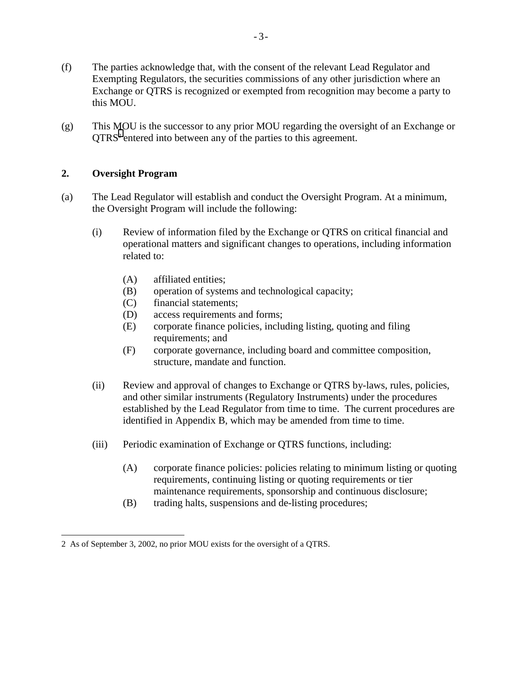- (f) The parties acknowledge that, with the consent of the relevant Lead Regulator and Exempting Regulators, the securities commissions of any other jurisdiction where an Exchange or QTRS is recognized or exempted from recognition may become a party to this MOU.
- (g) This MOU is the successor to any prior MOU regarding the oversight of an Exchange or QTRS<sup>2</sup> entered into between any of the parties to this agreement.

## **2. Oversight Program**

 $\overline{a}$ 

- (a) The Lead Regulator will establish and conduct the Oversight Program. At a minimum, the Oversight Program will include the following:
	- (i) Review of information filed by the Exchange or QTRS on critical financial and operational matters and significant changes to operations, including information related to:
		- (A) affiliated entities;
		- (B) operation of systems and technological capacity;
		- (C) financial statements;
		- (D) access requirements and forms;
		- (E) corporate finance policies, including listing, quoting and filing requirements; and
		- (F) corporate governance, including board and committee composition, structure, mandate and function.
	- (ii) Review and approval of changes to Exchange or QTRS by-laws, rules, policies, and other similar instruments (Regulatory Instruments) under the procedures established by the Lead Regulator from time to time. The current procedures are identified in Appendix B, which may be amended from time to time.
	- (iii) Periodic examination of Exchange or QTRS functions, including:
		- (A) corporate finance policies: policies relating to minimum listing or quoting requirements, continuing listing or quoting requirements or tier maintenance requirements, sponsorship and continuous disclosure;
		- (B) trading halts, suspensions and de-listing procedures;

<sup>2</sup> As of September 3, 2002, no prior MOU exists for the oversight of a QTRS.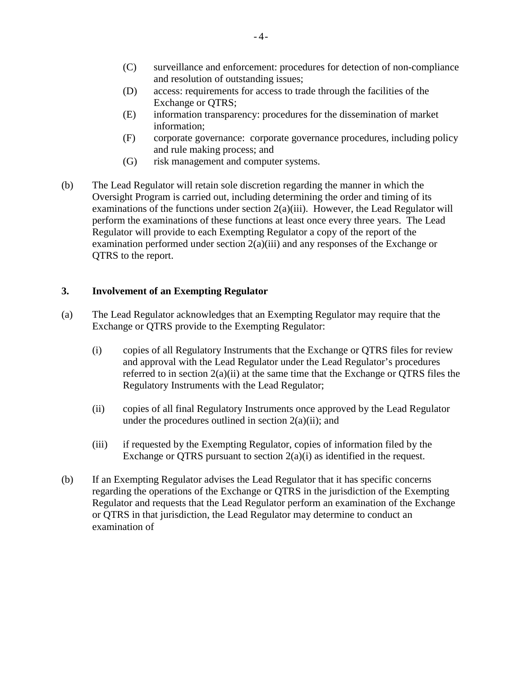- (C) surveillance and enforcement: procedures for detection of non-compliance and resolution of outstanding issues;
- (D) access: requirements for access to trade through the facilities of the Exchange or QTRS;
- (E) information transparency: procedures for the dissemination of market information;
- (F) corporate governance: corporate governance procedures, including policy and rule making process; and
- (G) risk management and computer systems.
- (b) The Lead Regulator will retain sole discretion regarding the manner in which the Oversight Program is carried out, including determining the order and timing of its examinations of the functions under section 2(a)(iii). However, the Lead Regulator will perform the examinations of these functions at least once every three years. The Lead Regulator will provide to each Exempting Regulator a copy of the report of the examination performed under section 2(a)(iii) and any responses of the Exchange or QTRS to the report.

## **3. Involvement of an Exempting Regulator**

- (a) The Lead Regulator acknowledges that an Exempting Regulator may require that the Exchange or QTRS provide to the Exempting Regulator:
	- (i) copies of all Regulatory Instruments that the Exchange or QTRS files for review and approval with the Lead Regulator under the Lead Regulator's procedures referred to in section 2(a)(ii) at the same time that the Exchange or QTRS files the Regulatory Instruments with the Lead Regulator;
	- (ii) copies of all final Regulatory Instruments once approved by the Lead Regulator under the procedures outlined in section  $2(a)(ii)$ ; and
	- (iii) if requested by the Exempting Regulator, copies of information filed by the Exchange or QTRS pursuant to section  $2(a)(i)$  as identified in the request.
- (b) If an Exempting Regulator advises the Lead Regulator that it has specific concerns regarding the operations of the Exchange or QTRS in the jurisdiction of the Exempting Regulator and requests that the Lead Regulator perform an examination of the Exchange or QTRS in that jurisdiction, the Lead Regulator may determine to conduct an examination of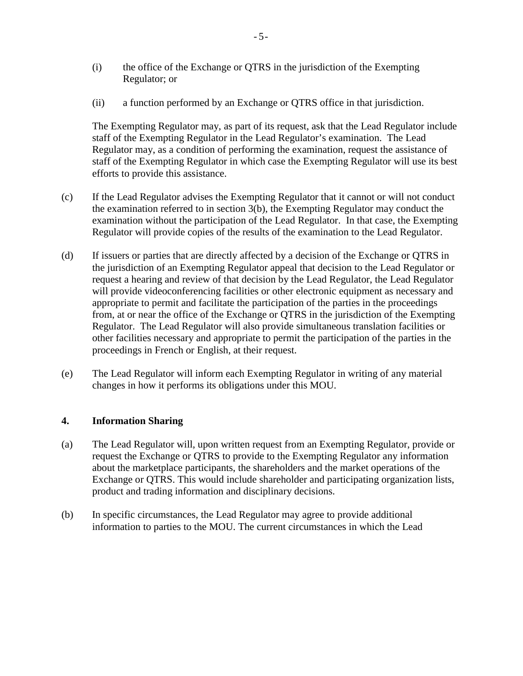- (i) the office of the Exchange or QTRS in the jurisdiction of the Exempting Regulator; or
- (ii) a function performed by an Exchange or QTRS office in that jurisdiction.

The Exempting Regulator may, as part of its request, ask that the Lead Regulator include staff of the Exempting Regulator in the Lead Regulator's examination. The Lead Regulator may, as a condition of performing the examination, request the assistance of staff of the Exempting Regulator in which case the Exempting Regulator will use its best efforts to provide this assistance.

- (c) If the Lead Regulator advises the Exempting Regulator that it cannot or will not conduct the examination referred to in section 3(b), the Exempting Regulator may conduct the examination without the participation of the Lead Regulator. In that case, the Exempting Regulator will provide copies of the results of the examination to the Lead Regulator.
- (d) If issuers or parties that are directly affected by a decision of the Exchange or QTRS in the jurisdiction of an Exempting Regulator appeal that decision to the Lead Regulator or request a hearing and review of that decision by the Lead Regulator, the Lead Regulator will provide videoconferencing facilities or other electronic equipment as necessary and appropriate to permit and facilitate the participation of the parties in the proceedings from, at or near the office of the Exchange or QTRS in the jurisdiction of the Exempting Regulator. The Lead Regulator will also provide simultaneous translation facilities or other facilities necessary and appropriate to permit the participation of the parties in the proceedings in French or English, at their request.
- (e) The Lead Regulator will inform each Exempting Regulator in writing of any material changes in how it performs its obligations under this MOU.

### **4. Information Sharing**

- (a) The Lead Regulator will, upon written request from an Exempting Regulator, provide or request the Exchange or QTRS to provide to the Exempting Regulator any information about the marketplace participants, the shareholders and the market operations of the Exchange or QTRS. This would include shareholder and participating organization lists, product and trading information and disciplinary decisions.
- (b) In specific circumstances, the Lead Regulator may agree to provide additional information to parties to the MOU. The current circumstances in which the Lead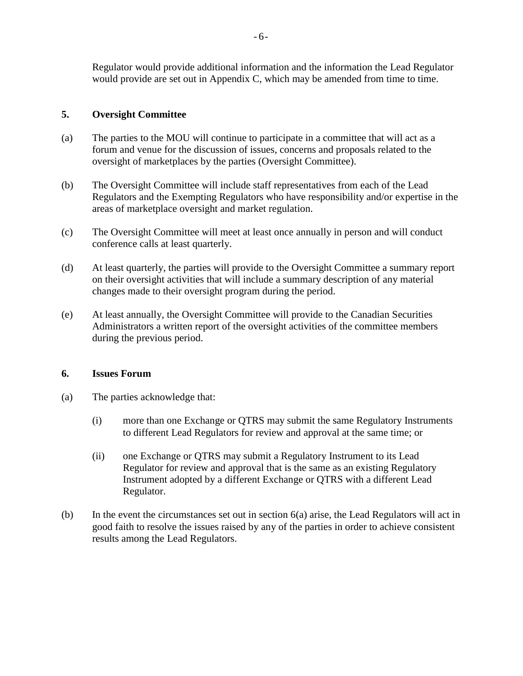Regulator would provide additional information and the information the Lead Regulator would provide are set out in Appendix C, which may be amended from time to time.

# **5. Oversight Committee**

- (a) The parties to the MOU will continue to participate in a committee that will act as a forum and venue for the discussion of issues, concerns and proposals related to the oversight of marketplaces by the parties (Oversight Committee).
- (b) The Oversight Committee will include staff representatives from each of the Lead Regulators and the Exempting Regulators who have responsibility and/or expertise in the areas of marketplace oversight and market regulation.
- (c) The Oversight Committee will meet at least once annually in person and will conduct conference calls at least quarterly.
- (d) At least quarterly, the parties will provide to the Oversight Committee a summary report on their oversight activities that will include a summary description of any material changes made to their oversight program during the period.
- (e) At least annually, the Oversight Committee will provide to the Canadian Securities Administrators a written report of the oversight activities of the committee members during the previous period.

## **6. Issues Forum**

- (a) The parties acknowledge that:
	- (i) more than one Exchange or QTRS may submit the same Regulatory Instruments to different Lead Regulators for review and approval at the same time; or
	- (ii) one Exchange or QTRS may submit a Regulatory Instrument to its Lead Regulator for review and approval that is the same as an existing Regulatory Instrument adopted by a different Exchange or QTRS with a different Lead Regulator.
- (b) In the event the circumstances set out in section 6(a) arise, the Lead Regulators will act in good faith to resolve the issues raised by any of the parties in order to achieve consistent results among the Lead Regulators.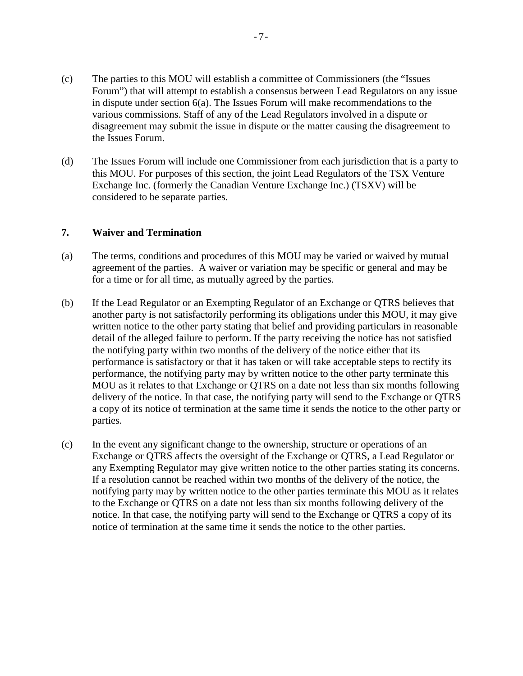- (c) The parties to this MOU will establish a committee of Commissioners (the "Issues Forum") that will attempt to establish a consensus between Lead Regulators on any issue in dispute under section 6(a). The Issues Forum will make recommendations to the various commissions. Staff of any of the Lead Regulators involved in a dispute or disagreement may submit the issue in dispute or the matter causing the disagreement to the Issues Forum.
- (d) The Issues Forum will include one Commissioner from each jurisdiction that is a party to this MOU. For purposes of this section, the joint Lead Regulators of the TSX Venture Exchange Inc. (formerly the Canadian Venture Exchange Inc.) (TSXV) will be considered to be separate parties.

#### **7. Waiver and Termination**

- (a) The terms, conditions and procedures of this MOU may be varied or waived by mutual agreement of the parties. A waiver or variation may be specific or general and may be for a time or for all time, as mutually agreed by the parties.
- (b) If the Lead Regulator or an Exempting Regulator of an Exchange or QTRS believes that another party is not satisfactorily performing its obligations under this MOU, it may give written notice to the other party stating that belief and providing particulars in reasonable detail of the alleged failure to perform. If the party receiving the notice has not satisfied the notifying party within two months of the delivery of the notice either that its performance is satisfactory or that it has taken or will take acceptable steps to rectify its performance, the notifying party may by written notice to the other party terminate this MOU as it relates to that Exchange or QTRS on a date not less than six months following delivery of the notice. In that case, the notifying party will send to the Exchange or QTRS a copy of its notice of termination at the same time it sends the notice to the other party or parties.
- (c) In the event any significant change to the ownership, structure or operations of an Exchange or QTRS affects the oversight of the Exchange or QTRS, a Lead Regulator or any Exempting Regulator may give written notice to the other parties stating its concerns. If a resolution cannot be reached within two months of the delivery of the notice, the notifying party may by written notice to the other parties terminate this MOU as it relates to the Exchange or QTRS on a date not less than six months following delivery of the notice. In that case, the notifying party will send to the Exchange or QTRS a copy of its notice of termination at the same time it sends the notice to the other parties.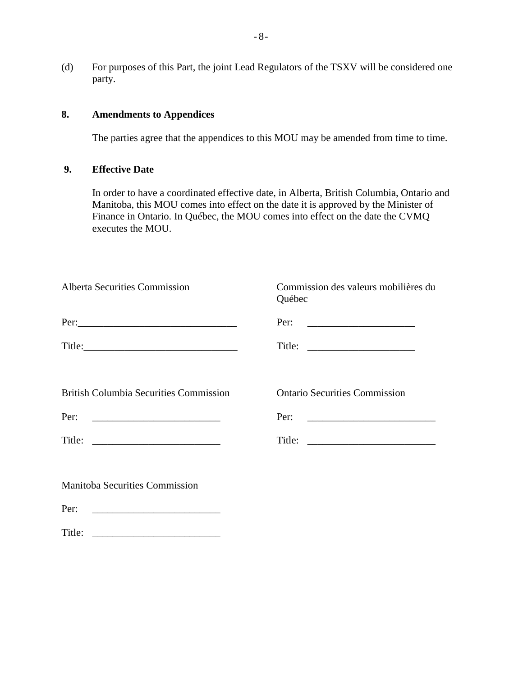(d) For purposes of this Part, the joint Lead Regulators of the TSXV will be considered one party.

## **8. Amendments to Appendices**

The parties agree that the appendices to this MOU may be amended from time to time.

## **9. Effective Date**

In order to have a coordinated effective date, in Alberta, British Columbia, Ontario and Manitoba, this MOU comes into effect on the date it is approved by the Minister of Finance in Ontario. In Québec, the MOU comes into effect on the date the CVMQ executes the MOU.

| <b>Alberta Securities Commission</b>          | Commission des valeurs mobilières du<br>Québec                    |
|-----------------------------------------------|-------------------------------------------------------------------|
|                                               | Per:<br><u> 1980 - Andrea Andrew Maria (b. 1980)</u>              |
|                                               |                                                                   |
| <b>British Columbia Securities Commission</b> | <b>Ontario Securities Commission</b>                              |
| Per:                                          | Per:<br><u> 1980 - Jan James James Barnett, fizik amerikan ba</u> |
| Title: $\qquad \qquad$                        |                                                                   |
|                                               |                                                                   |
| <b>Manitoba Securities Commission</b>         |                                                                   |
| Per:                                          |                                                                   |

Title: \_\_\_\_\_\_\_\_\_\_\_\_\_\_\_\_\_\_\_\_\_\_\_\_\_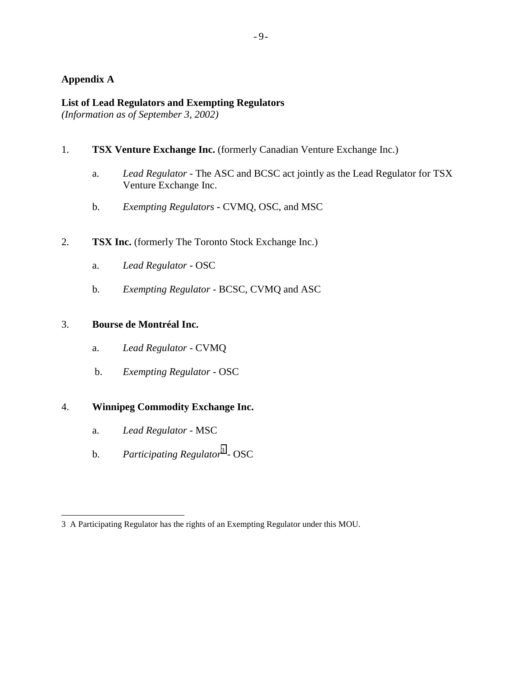## **Appendix A**

#### **List of Lead Regulators and Exempting Regulators**

*(Information as of September 3, 2002)* 

- 1. **TSX Venture Exchange Inc.** (formerly Canadian Venture Exchange Inc.)
	- a. *Lead Regulator* The ASC and BCSC act jointly as the Lead Regulator for TSX Venture Exchange Inc.
	- b. *Exempting Regulators* **-** CVMQ, OSC, and MSC
- 2. **TSX Inc.** (formerly The Toronto Stock Exchange Inc.)
	- a. *Lead Regulator* OSC
	- b. *Exempting Regulator* BCSC, CVMQ and ASC

## 3. **Bourse de Montréal Inc.**

- a. *Lead Regulator* CVMQ
- b. *Exempting Regulator* OSC

## 4. **Winnipeg Commodity Exchange Inc.**

- a. *Lead Regulator* MSC
- b. *Participating Regulator*<sup>3</sup> OSC

 $-9-$ 

 $\overline{\phantom{a}}$ 3 A Participating Regulator has the rights of an Exempting Regulator under this MOU.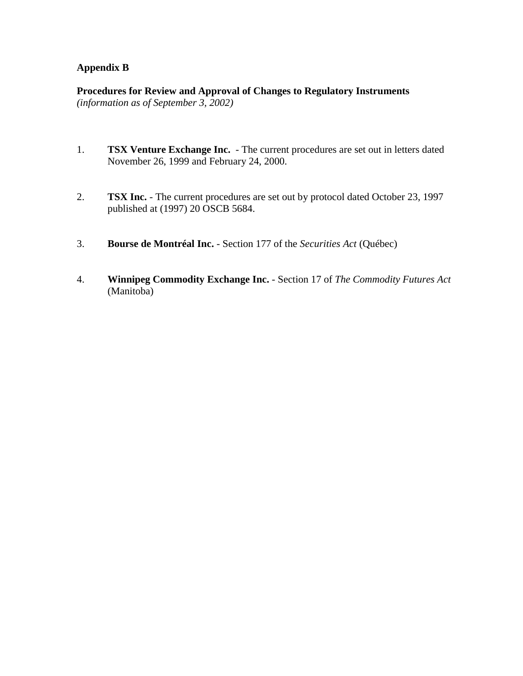## **Appendix B**

**Procedures for Review and Approval of Changes to Regulatory Instruments**  *(information as of September 3, 2002)* 

- 1. **TSX Venture Exchange Inc.** The current procedures are set out in letters dated November 26, 1999 and February 24, 2000.
- 2. **TSX Inc.** The current procedures are set out by protocol dated October 23, 1997 published at (1997) 20 OSCB 5684.
- 3. **Bourse de Montréal Inc.**  Section 177 of the *Securities Act* (Québec)
- 4. **Winnipeg Commodity Exchange Inc.** Section 17 of *The Commodity Futures Act* (Manitoba)